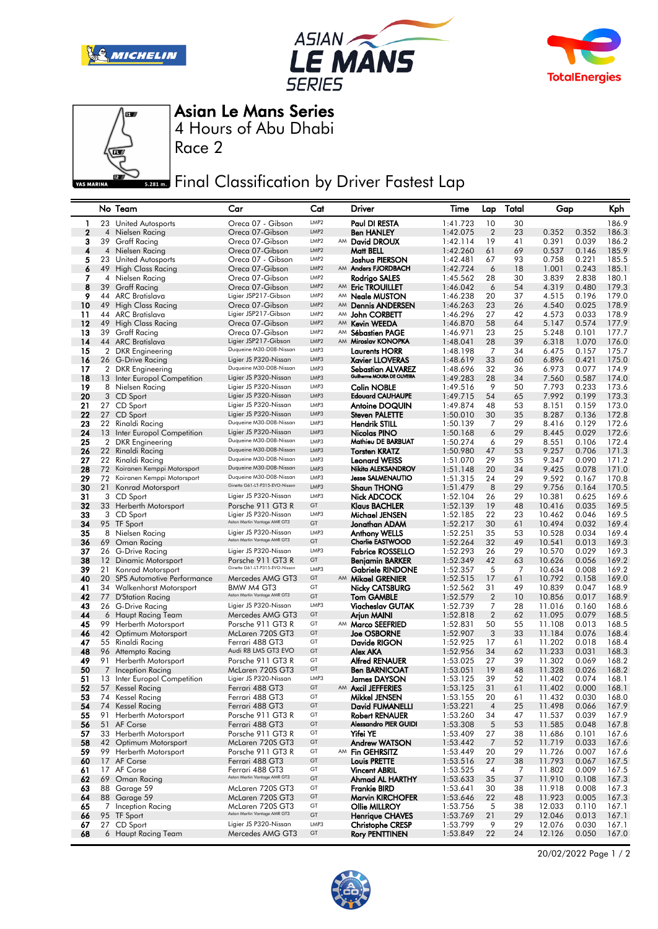







Asian Le Mans Series

4 Hours of Abu Dhabi

Race 2

**Final Classification by Driver Fastest Lap** 

|             |                | No Team                                   | Car                                                       | Cat                                  |    | Driver                                           | Time                 | Lap                  | Total    | Gap              |                | Kph            |
|-------------|----------------|-------------------------------------------|-----------------------------------------------------------|--------------------------------------|----|--------------------------------------------------|----------------------|----------------------|----------|------------------|----------------|----------------|
| 1           |                | 23 United Autosports                      | Oreca 07 - Gibson                                         | LMP <sub>2</sub>                     |    | Paul DI RESTA                                    | 1:41.723             | 10                   | 30       |                  |                | 186.9          |
| $\mathbf 2$ | 4              | Nielsen Racing                            | Oreca 07-Gibson                                           | LMP <sub>2</sub>                     |    | <b>Ben HANLEY</b>                                | 1:42.075             | $\overline{2}$       | 23       | 0.352            | 0.352          | 186.3          |
| 3           | 39             | Graff Racing                              | Oreca 07-Gibson                                           | LMP <sub>2</sub>                     |    | AM David DROUX                                   | 1:42.114             | 19                   | 41       | 0.391            | 0.039          | 186.2          |
| 4           | 4              | Nielsen Racing                            | Oreca 07-Gibson                                           | LMP <sub>2</sub>                     |    | Matt BELL                                        | 1:42.260             | 61                   | 69       | 0.537            | 0.146          | 185.9          |
| 5           |                | 23 United Autosports                      | Oreca 07 - Gibson                                         | LMP <sub>2</sub>                     |    | Joshua PIERSON                                   | 1:42.481             | 67                   | 93       | 0.758            | 0.221          | 185.5          |
| 6           | 49             | High Class Racing                         | Oreca 07-Gibson                                           | LMP <sub>2</sub>                     |    | AM Anders FJORDBACH                              | 1:42.724             | 6                    | 18       | 1.001            | 0.243          | 185.1          |
| 7           | 4              | Nielsen Racing                            | Oreca 07-Gibson                                           | LMP <sub>2</sub><br>LMP <sub>2</sub> |    | Rodrigo SALES                                    | 1:45.562             | 28                   | 30       | 3.839            | 2.838          | 180.1          |
| 8           | 39             | Graff Racing                              | Oreca 07-Gibson<br>Ligier JSP217-Gibson                   | LMP <sub>2</sub>                     |    | AM Eric TROUILLET                                | 1:46.042             | 6<br>20              | 54<br>37 | 4.319<br>4.515   | 0.480<br>0.196 | 179.3<br>179.0 |
| 9<br>10     |                | 44 ARC Bratislava<br>49 High Class Racing | Oreca 07-Gibson                                           | LMP <sub>2</sub>                     | AM | AM <b>Neale MUSTON</b><br><b>Dennis ANDERSEN</b> | 1:46.238<br>1:46.263 | 23                   | 26       | 4.540            | 0.025          | 178.9          |
| 11          |                | 44 ARC Bratislava                         | Ligier JSP217-Gibson                                      | LMP <sub>2</sub>                     |    | AM John CORBETT                                  | 1:46.296             | 27                   | 42       | 4.573            | 0.033          | 178.9          |
| 12          |                | 49 High Class Racing                      | Oreca 07-Gibson                                           | LMP <sub>2</sub>                     | AM | <b>Kevin WEEDA</b>                               | 1:46.870             | 58                   | 64       | 5.147            | 0.574          | 177.9          |
| 13          |                | 39 Graff Racing                           | Oreca 07-Gibson                                           | LMP <sub>2</sub>                     | AM | <b>Sébastien PAGE</b>                            | 1:46.971             | 23                   | 25       | 5.248            | 0.101          | 177.7          |
| 14          |                | 44 ARC Bratislava                         | Ligier JSP217-Gibson                                      | LMP <sub>2</sub>                     | AM | Miroslav KONOPKA                                 | 1:48.041             | 28                   | 39       | 6.318            | 1.070          | 176.0          |
| 15          |                | 2 DKR Engineering                         | Duqueine M30-D08-Nissan                                   | LMP3                                 |    | <b>Laurents HORR</b>                             | 1:48.198             | 7                    | 34       | 6.475            | 0.157          | 175.7          |
| 16          |                | 26 G-Drive Racing                         | Ligier JS P320-Nissan                                     | LMP3                                 |    | <b>Xavier LLOVERAS</b>                           | 1:48.619             | 33                   | 60       | 6.896            | 0.421          | 175.0          |
| 17          |                | 2 DKR Engineering                         | Duqueine M30-D08-Nissan                                   | LMP3                                 |    | Sebastian ALVAREZ<br>Guilherme MOURA DE OLIVEIRA | 1:48.696             | 32                   | 36       | 6.973            | 0.077          | 174.9          |
| 18          |                | 13 Inter Europol Competition              | Ligier JS P320-Nissan                                     | LMP3                                 |    |                                                  | 1:49.283             | 28                   | 34       | 7.560            | 0.587          | 174.0          |
| 19          | 8              | Nielsen Racing                            | Ligier JS P320-Nissan                                     | LMP3                                 |    | <b>Colin NOBLE</b>                               | 1:49.516             | 9                    | 50       | 7.793            | 0.233          | 173.6          |
| 20          |                | 3 CD Sport                                | Ligier JS P320-Nissan<br>Ligier JS P320-Nissan            | LMP3<br>LMP3                         |    | <b>Edouard CAUHAUPE</b>                          | 1:49.715             | 54                   | 65       | 7.992            | 0.199          | 173.3          |
| 21<br>22    | 27             | 27 CD Sport<br>CD Sport                   | Ligier JS P320-Nissan                                     | LMP3                                 |    | <b>Antoine DOQUIN</b><br>Steven PALETTE          | 1:49.874<br>1:50.010 | 48<br>30             | 53<br>35 | 8.151<br>8.287   | 0.159<br>0.136 | 173.0<br>172.8 |
| 23          |                | 22 Rinaldi Racing                         | Duqueine M30-D08-Nissan                                   | LMP3                                 |    | <b>Hendrik STILL</b>                             | 1:50.139             | 7                    | 29       | 8.416            | 0.129          | 172.6          |
| 24          |                | 13 Inter Europol Competition              | Ligier JS P320-Nissan                                     | LMP3                                 |    | Nicolas PINO                                     | 1:50.168             | 6                    | 29       | 8.445            | 0.029          | 172.6          |
| 25          | $\overline{2}$ | <b>DKR</b> Engineering                    | Duqueine M30-D08-Nissan                                   | LMP3                                 |    | Mathieu DE BARBUAT                               | 1:50.274             | 6                    | 29       | 8.551            | 0.106          | 172.4          |
| 26          |                | 22 Rinaldi Racing                         | Duqueine M30-D08-Nissan                                   | LMP3                                 |    | <b>Torsten KRATZ</b>                             | 1:50.980             | 47                   | 53       | 9.257            | 0.706          | 171.3          |
| 27          | 22             | Rinaldi Racing                            | Duqueine M30-D08-Nissan                                   | LMP3                                 |    | <b>Leonard WEISS</b>                             | 1:51.070             | 29                   | 35       | 9.347            | 0.090          | 171.2          |
| 28          | 72             | Koiranen Kemppi Motorsport                | Duqueine M30-D08-Nissan                                   | LMP3                                 |    | Nikita ALEKSANDROV                               | 1:51.148             | 20                   | 34       | 9.425            | 0.078          | 171.0          |
| 29          |                | 72 Koiranen Kemppi Motorsport             | Duqueine M30-D08-Nissan<br>Ginetta G61-LT-P315-EVO-Nissan | LMP3                                 |    | <b>Jesse SALMENAUTIO</b>                         | 1:51.315             | 24                   | 29       | 9.592            | 0.167          | 170.8          |
| 30          | 21             | Konrad Motorsport                         |                                                           | LMP3                                 |    | <b>Shaun THONG</b>                               | 1:51.479             | 8                    | 29       | 9.756            | 0.164          | 170.5          |
| 31<br>32    |                | 3 CD Sport                                | Ligier JS P320-Nissan                                     | LMP3<br>GT                           |    | Nick ADCOCK                                      | 1:52.104             | 26                   | 29       | 10.381           | 0.625          | 169.6          |
| 33          |                | 33 Herberth Motorsport<br>3 CD Sport      | Porsche 911 GT3 R<br>Ligier JS P320-Nissan                | LMP3                                 |    | Klaus BACHLER<br>Michael JENSEN                  | 1:52.139<br>1:52.185 | 19<br>22             | 48<br>23 | 10.416<br>10.462 | 0.035<br>0.046 | 169.5<br>169.5 |
| 34          |                | 95 TF Sport                               | Aston Martin Vantage AMR GT3                              | GT                                   |    | Jonathan ADAM                                    | 1:52.217             | 30                   | 61       | 10.494           | 0.032          | 169.4          |
| 35          | 8              | Nielsen Racing                            | Ligier JS P320-Nissan                                     | LMP3                                 |    | <b>Anthony WELLS</b>                             | 1:52.251             | 35                   | 53       | 10.528           | 0.034          | 169.4          |
| 36          |                | 69 Oman Racing                            | Aston Martin Vantage AMR GT3                              | GT                                   |    | <b>Charlie EASTWOOD</b>                          | 1:52.264             | 32                   | 49       | 10.541           | 0.013          | 169.3          |
| 37          |                | 26 G-Drive Racing                         | Ligier JS P320-Nissan                                     | LMP3                                 |    | <b>Fabrice ROSSELLO</b>                          | 1:52.293             | 26                   | 29       | 10.570           | 0.029          | 169.3          |
| 38          | 12             | Dinamic Motorsport                        | Porsche 911 GT3 R                                         | GT                                   |    | Benjamin BARKER                                  | 1:52.349             | 42                   | 63       | 10.626           | 0.056          | 169.2          |
| 39          | 21             | Konrad Motorsport                         | Ginetta G61-LT-P315-EVO-Nissan                            | LMP3                                 |    | <b>Gabriele RINDONE</b>                          | 1:52.357             | 5                    | 7        | 10.634           | 0.008          | 169.2          |
| 40          |                | 20 SPS Automotive Performance             | Mercedes AMG GT3                                          | GT                                   |    | AM Mikael GRENIER                                | 1:52.515             | 17                   | 61       | 10.792           | 0.158          | 169.0          |
| 41          |                | 34 Walkenhorst Motorsport                 | BMW M4 GT3<br>Aston Martin Vantage AMR GT3                | GT<br>GT                             |    | <b>Nicky CATSBURG</b>                            | 1:52.562             | 31                   | 49       | 10.839           | 0.047          | 168.9          |
| 42<br>43    | 77             | D'Station Racing<br>26 G-Drive Racing     | Ligier JS P320-Nissan                                     | LMP3                                 |    | <b>Tom GAMBLE</b><br>Viacheslav GUTAK            | 1:52.579<br>1:52.739 | $\overline{2}$<br>7  | 10<br>28 | 10.856<br>11.016 | 0.017<br>0.160 | 168.9<br>168.6 |
| 44          |                | 6 Haupt Racing Team                       | Mercedes AMG GT3                                          | GT                                   |    | Arjun MAINI                                      | 1:52.818             | $\overline{2}$       | 62       | 11.095           | 0.079          | 168.5          |
| 45          | 99             | Herberth Motorsport                       | Porsche 911 GT3 R                                         | GT                                   |    | AM Marco SEEFRIED                                | 1:52.831             | 50                   | 55       | 11.108           | 0.013          | 168.5          |
| 46          |                | 42 Optimum Motorsport                     | McLaren 720S GT3                                          | GT                                   |    | <b>Joe OSBORNE</b>                               | 1:52.907             | 3                    | 33       | 11.184           | 0.076          | 168.4          |
| 47          | 55             | Rinaldi Racing                            | Ferrari 488 GT3                                           | GT                                   |    | Davide RIGON                                     | 1:52.925             | 17                   | 61       | 11.202           | 0.018          | 168.4          |
| 48          |                | 96 Attempto Racing                        | Audi R8 LMS GT3 EVO                                       | GT                                   |    | Alex AKA                                         | 1:52.956             | 34                   | 62       | 11.233           | 0.031          | 168.3          |
| 49          | 91             | Herberth Motorsport                       | Porsche 911 GT3 R                                         | GT                                   |    | <b>Alfred RENAUER</b>                            | 1:53.025             | 27                   | 39       | 11.302           | 0.069          | 168.2          |
| 50          | 7              | Inception Racing                          | McLaren 720S GT3                                          | GT                                   |    | <b>Ben BARNICOAT</b>                             | 1:53.051             | 19                   | 48       | 11.328           | 0.026          | 168.2          |
| 51          | 13             | Inter Europol Competition                 | Ligier JS P320-Nissan                                     | LMP3                                 |    | James DAYSON                                     | 1:53.125             | 39                   | 52       | 11.402           | 0.074          | 168.1          |
| 52          | 57             | Kessel Racing                             | Ferrari 488 GT3                                           | GT<br>GT                             |    | AM Axcil JEFFERIES                               | 1:53.125             | 31                   | 61       | 11.402<br>11.432 | 0.000          | 168.1          |
| 53<br>54    |                | 74 Kessel Racing<br>74 Kessel Racing      | Ferrari 488 GT3<br>Ferrari 488 GT3                        | GT                                   |    | Mikkel JENSEN<br>David FUMANELLI                 | 1:53.155<br>1:53.221 | 20<br>$\overline{4}$ | 61<br>25 | 11.498           | 0.030<br>0.066 | 168.0<br>167.9 |
| 55          |                | 91 Herberth Motorsport                    | Porsche 911 GT3 R                                         | GT                                   |    | <b>Robert RENAUER</b>                            | 1:53.260             | 34                   | 47       | 11.537           | 0.039          | 167.9          |
| 56          | 51             | AF Corse                                  | Ferrari 488 GT3                                           | GT                                   |    | Alessandro PIER GUIDI                            | 1:53.308             | 5                    | 53       | 11.585           | 0.048          | 167.8          |
| 57          |                | 33 Herberth Motorsport                    | Porsche 911 GT3 R                                         | GT                                   |    | Yifei YE                                         | 1:53.409             | 27                   | 38       | 11.686           | 0.101          | 167.6          |
| 58          |                | 42 Optimum Motorsport                     | McLaren 720S GT3                                          | GT                                   |    | Andrew WATSON                                    | 1:53.442             | 7                    | 52       | 11.719           | 0.033          | 167.6          |
| 59          | 99             | Herberth Motorsport                       | Porsche 911 GT3 R                                         | GT                                   |    | AM Fin GEHRSITZ                                  | 1:53.449             | 20                   | 29       | 11.726           | 0.007          | 167.6          |
| 60          | 17             | AF Corse                                  | Ferrari 488 GT3                                           | GT                                   |    | <b>Louis PRETTE</b>                              | 1:53.516             | 27                   | 38       | 11.793           | 0.067          | 167.5          |
| 61          |                | 17 AF Corse                               | Ferrari 488 GT3<br>Aston Martin Vantage AMR GT3           | GT                                   |    | <b>Vincent ABRIL</b>                             | 1:53.525             | 4                    | 7        | 11.802           | 0.009          | 167.5          |
| 62          | 69             | Oman Racing                               |                                                           | GT                                   |    | Ahmad AL HARTHY                                  | 1:53.633             | 35                   | 37       | 11.910           | 0.108          | 167.3          |
| 63          |                | 88 Garage 59                              | McLaren 720S GT3                                          | GT<br>GT                             |    | <b>Frankie BIRD</b>                              | 1:53.641             | 30                   | 38       | 11.918           | 0.008          | 167.3          |
| 64<br>65    | 7              | 88 Garage 59<br>Inception Racing          | McLaren 720S GT3<br>McLaren 720S GT3                      | GT                                   |    | <b>Marvin KIRCHOFER</b><br>Ollie MILLROY         | 1:53.646<br>1:53.756 | 22<br>5              | 48<br>38 | 11.923<br>12.033 | 0.005<br>0.110 | 167.3<br>167.1 |
| 66          |                | 95 TF Sport                               | Aston Martin Vantage AMR GT3                              | GT                                   |    | <b>Henrique CHAVES</b>                           | 1:53.769             | 21                   | 29       | 12.046           | 0.013          | 167.1          |
| 67          |                | 27 CD Sport                               | Ligier JS P320-Nissan                                     | LMP3                                 |    | <b>Christophe CRESP</b>                          | 1:53.799             | 9                    | 29       | 12.076           | 0.030          | 167.1          |
| 68          |                | 6 Haupt Racing Team                       | Mercedes AMG GT3                                          | GT                                   |    | <b>Rory PENTTINEN</b>                            | 1:53.849             | 22                   | 24       | 12.126           | 0.050          | 167.0          |
|             |                |                                           |                                                           |                                      |    |                                                  |                      |                      |          |                  |                |                |